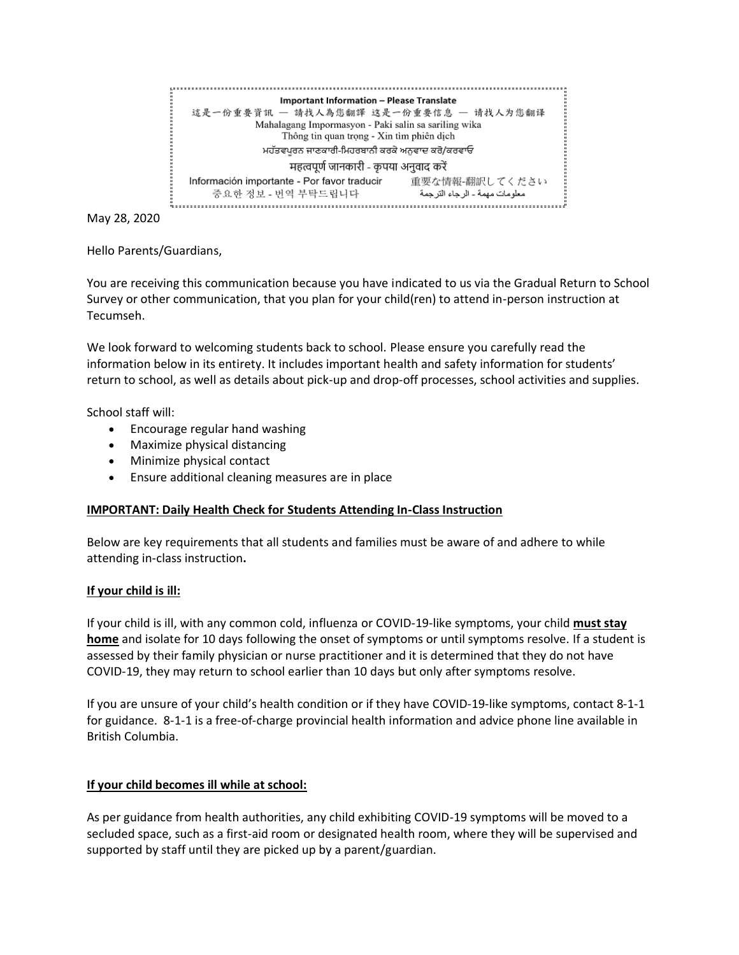

May 28, 2020

Hello Parents/Guardians,

You are receiving this communication because you have indicated to us via the Gradual Return to School Survey or other communication, that you plan for your child(ren) to attend in-person instruction at Tecumseh.

We look forward to welcoming students back to school. Please ensure you carefully read the information below in its entirety. It includes important health and safety information for students' return to school, as well as details about pick-up and drop-off processes, school activities and supplies.

School staff will:

- Encourage regular hand washing
- Maximize physical distancing
- Minimize physical contact
- Ensure additional cleaning measures are in place

#### **IMPORTANT: Daily Health Check for Students Attending In-Class Instruction**

Below are key requirements that all students and families must be aware of and adhere to while attending in-class instruction**.**

#### **If your child is ill:**

If your child is ill, with any common cold, influenza or COVID-19-like symptoms, your child **must stay home** and isolate for 10 days following the onset of symptoms or until symptoms resolve. If a student is assessed by their family physician or nurse practitioner and it is determined that they do not have COVID-19, they may return to school earlier than 10 days but only after symptoms resolve.

If you are unsure of your child's health condition or if they have COVID-19-like symptoms, contact 8-1-1 for guidance. 8-1-1 is a free-of-charge provincial health information and advice phone line available in British Columbia.

#### **If your child becomes ill while at school:**

As per guidance from health authorities, any child exhibiting COVID-19 symptoms will be moved to a secluded space, such as a first-aid room or designated health room, where they will be supervised and supported by staff until they are picked up by a parent/guardian.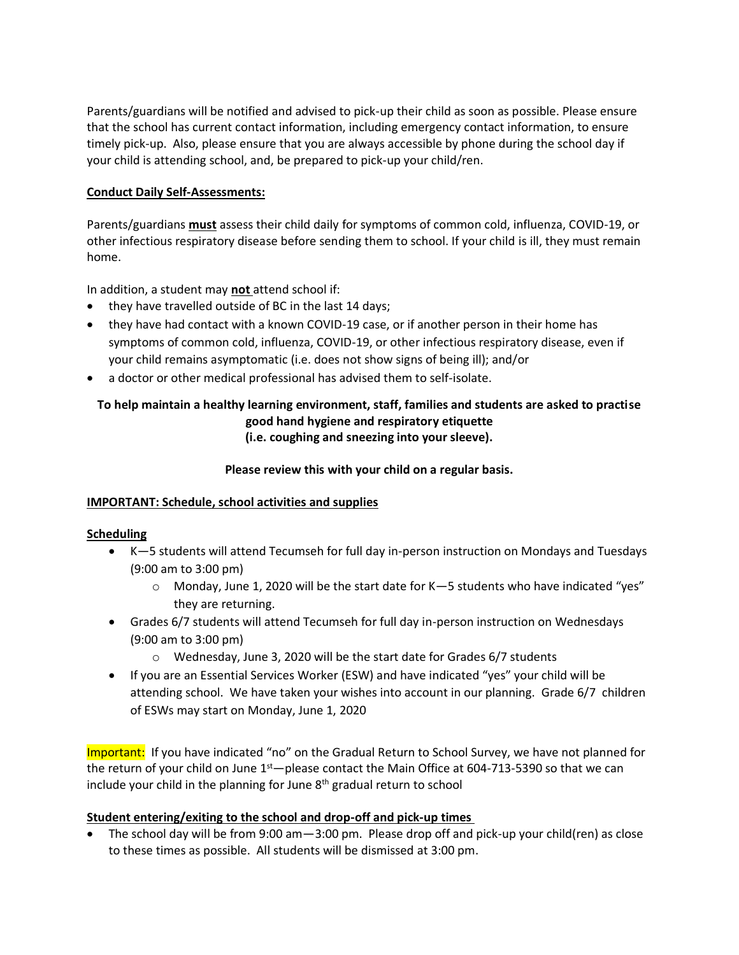Parents/guardians will be notified and advised to pick-up their child as soon as possible. Please ensure that the school has current contact information, including emergency contact information, to ensure timely pick-up. Also, please ensure that you are always accessible by phone during the school day if your child is attending school, and, be prepared to pick-up your child/ren.

### **Conduct Daily Self-Assessments:**

Parents/guardians **must** assess their child daily for symptoms of common cold, influenza, COVID-19, or other infectious respiratory disease before sending them to school. If your child is ill, they must remain home.

In addition, a student may **not** attend school if:

- they have travelled outside of BC in the last 14 days;
- they have had contact with a known COVID-19 case, or if another person in their home has symptoms of common cold, influenza, COVID-19, or other infectious respiratory disease, even if your child remains asymptomatic (i.e. does not show signs of being ill); and/or
- a doctor or other medical professional has advised them to self-isolate.

### **To help maintain a healthy learning environment, staff, families and students are asked to practise good hand hygiene and respiratory etiquette (i.e. coughing and sneezing into your sleeve).**

### **Please review this with your child on a regular basis.**

#### **IMPORTANT: Schedule, school activities and supplies**

#### **Scheduling**

- K—5 students will attend Tecumseh for full day in-person instruction on Mondays and Tuesdays (9:00 am to 3:00 pm)
	- $\circ$  Monday, June 1, 2020 will be the start date for K-5 students who have indicated "yes" they are returning.
- Grades 6/7 students will attend Tecumseh for full day in-person instruction on Wednesdays (9:00 am to 3:00 pm)
	- o Wednesday, June 3, 2020 will be the start date for Grades 6/7 students
- If you are an Essential Services Worker (ESW) and have indicated "yes" your child will be attending school. We have taken your wishes into account in our planning. Grade 6/7 children of ESWs may start on Monday, June 1, 2020

Important: If you have indicated "no" on the Gradual Return to School Survey, we have not planned for the return of your child on June  $1<sup>st</sup>$  please contact the Main Office at 604-713-5390 so that we can include your child in the planning for June  $8<sup>th</sup>$  gradual return to school

#### **Student entering/exiting to the school and drop-off and pick-up times**

• The school day will be from 9:00 am—3:00 pm. Please drop off and pick-up your child(ren) as close to these times as possible. All students will be dismissed at 3:00 pm.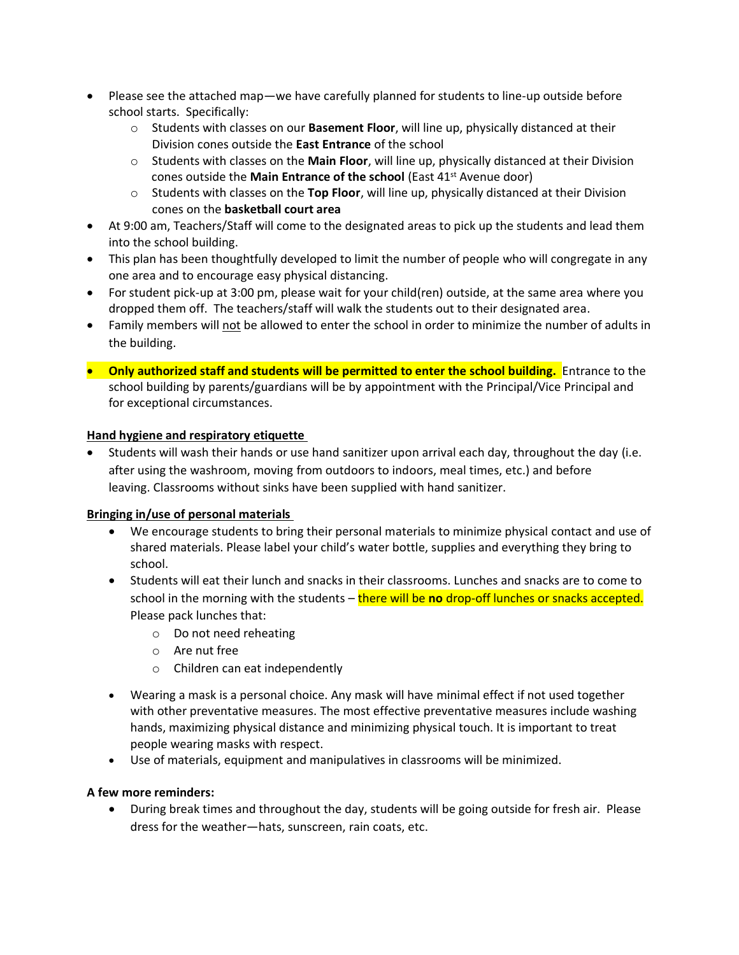- Please see the attached map—we have carefully planned for students to line-up outside before school starts. Specifically:
	- o Students with classes on our **Basement Floor**, will line up, physically distanced at their Division cones outside the **East Entrance** of the school
	- o Students with classes on the **Main Floor**, will line up, physically distanced at their Division cones outside the **Main Entrance of the school** (East 41st Avenue door)
	- o Students with classes on the **Top Floor**, will line up, physically distanced at their Division cones on the **basketball court area**
- At 9:00 am, Teachers/Staff will come to the designated areas to pick up the students and lead them into the school building.
- This plan has been thoughtfully developed to limit the number of people who will congregate in any one area and to encourage easy physical distancing.
- For student pick-up at 3:00 pm, please wait for your child(ren) outside, at the same area where you dropped them off. The teachers/staff will walk the students out to their designated area.
- Family members will not be allowed to enter the school in order to minimize the number of adults in the building.
- **Only authorized staff and students will be permitted to enter the school building.** Entrance to the school building by parents/guardians will be by appointment with the Principal/Vice Principal and for exceptional circumstances.

# **Hand hygiene and respiratory etiquette**

• Students will wash their hands or use hand sanitizer upon arrival each day, throughout the day (i.e. after using the washroom, moving from outdoors to indoors, meal times, etc.) and before leaving. Classrooms without sinks have been supplied with hand sanitizer.

# **Bringing in/use of personal materials**

- We encourage students to bring their personal materials to minimize physical contact and use of shared materials. Please label your child's water bottle, supplies and everything they bring to school.
- Students will eat their lunch and snacks in their classrooms. Lunches and snacks are to come to school in the morning with the students – there will be **no** drop-off lunches or snacks accepted. Please pack lunches that:
	- o Do not need reheating
	- o Are nut free
	- o Children can eat independently
- Wearing a mask is a personal choice. Any mask will have minimal effect if not used together with other preventative measures. The most effective preventative measures include washing hands, maximizing physical distance and minimizing physical touch. It is important to treat people wearing masks with respect.
- Use of materials, equipment and manipulatives in classrooms will be minimized.

# **A few more reminders:**

• During break times and throughout the day, students will be going outside for fresh air. Please dress for the weather—hats, sunscreen, rain coats, etc.